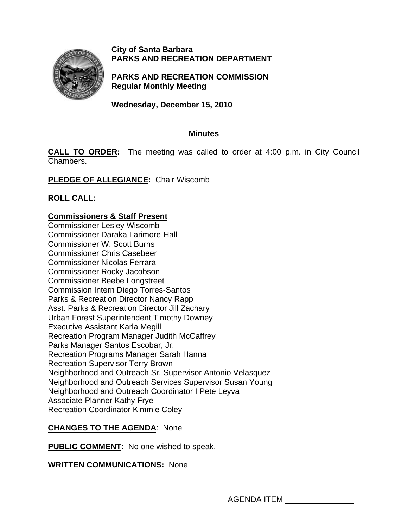

**City of Santa Barbara PARKS AND RECREATION DEPARTMENT**

**PARKS AND RECREATION COMMISSION Regular Monthly Meeting** 

**Wednesday, December 15, 2010** 

# **Minutes**

**CALL TO ORDER:** The meeting was called to order at 4:00 p.m. in City Council Chambers.

**PLEDGE OF ALLEGIANCE:** Chair Wiscomb

# **ROLL CALL:**

# **Commissioners & Staff Present**

Commissioner Lesley Wiscomb Commissioner Daraka Larimore-Hall Commissioner W. Scott Burns Commissioner Chris Casebeer Commissioner Nicolas Ferrara Commissioner Rocky Jacobson Commissioner Beebe Longstreet Commission Intern Diego Torres-Santos Parks & Recreation Director Nancy Rapp Asst. Parks & Recreation Director Jill Zachary Urban Forest Superintendent Timothy Downey Executive Assistant Karla Megill Recreation Program Manager Judith McCaffrey Parks Manager Santos Escobar, Jr. Recreation Programs Manager Sarah Hanna Recreation Supervisor Terry Brown Neighborhood and Outreach Sr. Supervisor Antonio Velasquez Neighborhood and Outreach Services Supervisor Susan Young Neighborhood and Outreach Coordinator I Pete Leyva Associate Planner Kathy Frye Recreation Coordinator Kimmie Coley

# **CHANGES TO THE AGENDA**: None

**PUBLIC COMMENT:** No one wished to speak.

# **WRITTEN COMMUNICATIONS:** None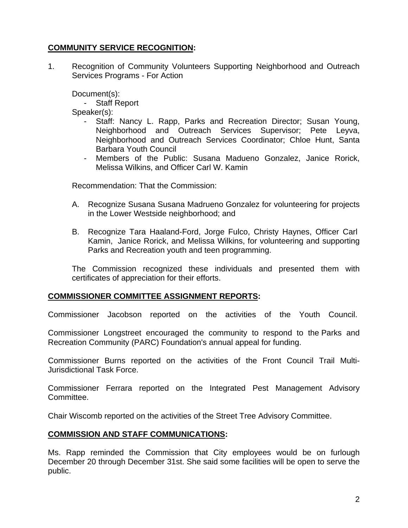# **COMMUNITY SERVICE RECOGNITION:**

1. Recognition of Community Volunteers Supporting Neighborhood and Outreach Services Programs - For Action

Document(s):

- Staff Report

Speaker(s):

- Staff: Nancy L. Rapp, Parks and Recreation Director; Susan Young, Neighborhood and Outreach Services Supervisor; Pete Leyva, Neighborhood and Outreach Services Coordinator; Chloe Hunt, Santa Barbara Youth Council
- Members of the Public: Susana Madueno Gonzalez, Janice Rorick, Melissa Wilkins, and Officer Carl W. Kamin

Recommendation: That the Commission:

- A.Recognize Susana Susana Madrueno Gonzalez for volunteering for projects in the Lower Westside neighborhood; and
- B. Recognize Tara Haaland-Ford, Jorge Fulco, Christy Haynes, Officer Carl Kamin, Janice Rorick, and Melissa Wilkins, for volunteering and supporting Parks and Recreation youth and teen programming.

The Commission recognized these individuals and presented them with certificates of appreciation for their efforts.

#### **COMMISSIONER COMMITTEE ASSIGNMENT REPORTS:**

Commissioner Jacobson reported on the activities of the Youth Council.

Commissioner Longstreet encouraged the community to respond to the Parks and Recreation Community (PARC) Foundation's annual appeal for funding.

Commissioner Burns reported on the activities of the Front Council Trail Multi-Jurisdictional Task Force.

Commissioner Ferrara reported on the Integrated Pest Management Advisory Committee.

Chair Wiscomb reported on the activities of the Street Tree Advisory Committee.

#### **COMMISSION AND STAFF COMMUNICATIONS:**

Ms. Rapp reminded the Commission that City employees would be on furlough December 20 through December 31st. She said some facilities will be open to serve the public.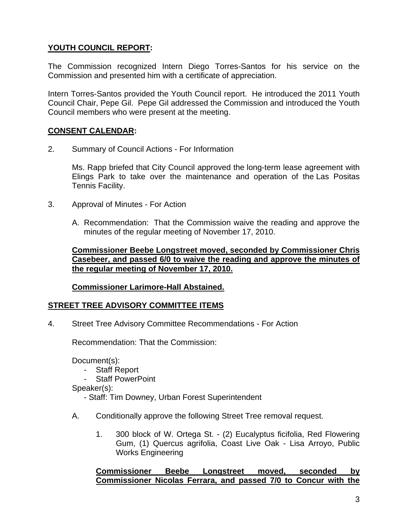# **YOUTH COUNCIL REPORT:**

The Commission recognized Intern Diego Torres-Santos for his service on the Commission and presented him with a certificate of appreciation.

Intern Torres-Santos provided the Youth Council report. He introduced the 2011 Youth Council Chair, Pepe Gil. Pepe Gil addressed the Commission and introduced the Youth Council members who were present at the meeting.

## **CONSENT CALENDAR:**

2. Summary of Council Actions - For Information

Ms. Rapp briefed that City Council approved the long-term lease agreement with Elings Park to take over the maintenance and operation of the Las Positas Tennis Facility.

- 3. Approval of Minutes For Action
	- A. Recommendation: That the Commission waive the reading and approve the minutes of the regular meeting of November 17, 2010.

**Commissioner Beebe Longstreet moved, seconded by Commissioner Chris Casebeer, and passed 6/0 to waive the reading and approve the minutes of the regular meeting of November 17, 2010.**

#### **Commissioner Larimore-Hall Abstained.**

#### **STREET TREE ADVISORY COMMITTEE ITEMS**

4.Street Tree Advisory Committee Recommendations - For Action

Recommendation: That the Commission:

Document(s):

- Staff Report
- Staff PowerPoint

Speaker(s):

- Staff: Tim Downey, Urban Forest Superintendent
- A. Conditionally approve the following Street Tree removal request.
	- 1. 300 block of W. Ortega St. (2) Eucalyptus ficifolia, Red Flowering Gum, (1) Quercus agrifolia, Coast Live Oak - Lisa Arroyo, Public Works Engineering

**Commissioner Beebe Longstreet moved, seconded by Commissioner Nicolas Ferrara, and passed 7/0 to Concur with the**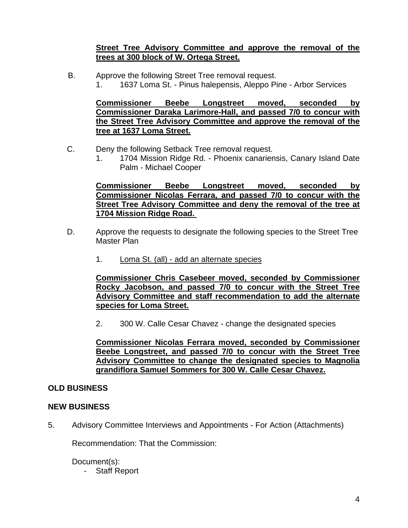#### **Street Tree Advisory Committee and approve the removal of the trees at 300 block of W. Ortega Street.**

B. Approve the following Street Tree removal request. 1. 1637 Loma St. - Pinus halepensis, Aleppo Pine - Arbor Services

**Commissioner Beebe Longstreet moved, seconded by Commissioner Daraka Larimore-Hall, and passed 7/0 to concur with the Street Tree Advisory Committee and approve the removal of the tree at 1637 Loma Street.** 

- C.Deny the following Setback Tree removal request.
	- 1. 1704 Mission Ridge Rd. Phoenix canariensis, Canary Island Date Palm - Michael Cooper

**Commissioner Beebe Longstreet moved, seconded by Commissioner Nicolas Ferrara, and passed 7/0 to concur with the Street Tree Advisory Committee and deny the removal of the tree at 1704 Mission Ridge Road.** 

- D. Approve the requests to designate the following species to the Street Tree Master Plan
	- 1. Loma St. (all) add an alternate species

**Commissioner Chris Casebeer moved, seconded by Commissioner Rocky Jacobson, and passed 7/0 to concur with the Street Tree Advisory Committee and staff recommendation to add the alternate species for Loma Street.** 

2. 300 W. Calle Cesar Chavez - change the designated species

**Commissioner Nicolas Ferrara moved, seconded by Commissioner Beebe Longstreet, and passed 7/0 to concur with the Street Tree Advisory Committee to change the designated species to Magnolia grandiflora Samuel Sommers for 300 W. Calle Cesar Chavez.** 

# **OLD BUSINESS**

#### **NEW BUSINESS**

5.Advisory Committee Interviews and Appointments - For Action (Attachments)

Recommendation: That the Commission:

Document(s):

- Staff Report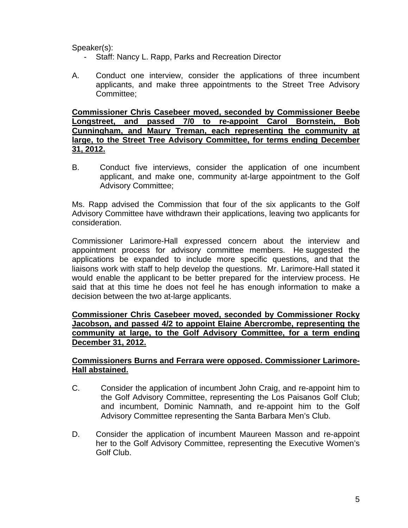Speaker(s):

- Staff: Nancy L. Rapp, Parks and Recreation Director
- A. Conduct one interview, consider the applications of three incumbent applicants, and make three appointments to the Street Tree Advisory Committee;

**Commissioner Chris Casebeer moved, seconded by Commissioner Beebe Longstreet, and passed 7/0 to re-appoint Carol Bornstein, Bob Cunningham, and Maury Treman, each representing the community at large, to the Street Tree Advisory Committee, for terms ending December 31, 2012.** 

B. Conduct five interviews, consider the application of one incumbent applicant, and make one, community at-large appointment to the Golf Advisory Committee;

Ms. Rapp advised the Commission that four of the six applicants to the Golf Advisory Committee have withdrawn their applications, leaving two applicants for consideration.

Commissioner Larimore-Hall expressed concern about the interview and appointment process for advisory committee members. He suggested the applications be expanded to include more specific questions, and that the liaisons work with staff to help develop the questions. Mr. Larimore-Hall stated it would enable the applicant to be better prepared for the interview process. He said that at this time he does not feel he has enough information to make a decision between the two at-large applicants.

# **Commissioner Chris Casebeer moved, seconded by Commissioner Rocky Jacobson, and passed 4/2 to appoint Elaine Abercrombe, representing the community at large, to the Golf Advisory Committee, for a term ending December 31, 2012.**

#### **Commissioners Burns and Ferrara were opposed. Commissioner Larimore-Hall abstained.**

- C. Consider the application of incumbent John Craig, and re-appoint him to the Golf Advisory Committee, representing the Los Paisanos Golf Club; and incumbent, Dominic Namnath, and re-appoint him to the Golf Advisory Committee representing the Santa Barbara Men's Club.
- D. Consider the application of incumbent Maureen Masson and re-appoint her to the Golf Advisory Committee, representing the Executive Women's Golf Club.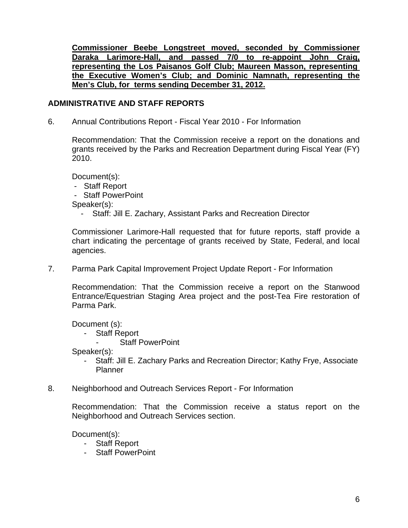**Commissioner Beebe Longstreet moved, seconded by Commissioner Daraka Larimore-Hall, and passed 7/0 to re-appoint John Craig, representing the Los Paisanos Golf Club; Maureen Masson, representing the Executive Women's Club; and Dominic Namnath, representing the Men's Club, for terms sending December 31, 2012.** 

# **ADMINISTRATIVE AND STAFF REPORTS**

6. Annual Contributions Report - Fiscal Year 2010 - For Information

Recommendation: That the Commission receive a report on the donations and grants received by the Parks and Recreation Department during Fiscal Year (FY) 2010.

Document(s):

- Staff Report

- Staff PowerPoint

Speaker(s):

- Staff: Jill E. Zachary, Assistant Parks and Recreation Director

Commissioner Larimore-Hall requested that for future reports, staff provide a chart indicating the percentage of grants received by State, Federal, and local agencies.

7. Parma Park Capital Improvement Project Update Report - For Information

Recommendation: That the Commission receive a report on the Stanwood Entrance/Equestrian Staging Area project and the post-Tea Fire restoration of Parma Park.

Document (s):

- Staff Report
	- Staff PowerPoint

Speaker(s):

- Staff: Jill E. Zachary Parks and Recreation Director; Kathy Frye, Associate Planner
- 8. Neighborhood and Outreach Services Report For Information

Recommendation: That the Commission receive a status report on the Neighborhood and Outreach Services section.

Document(s):

- Staff Report
- Staff PowerPoint